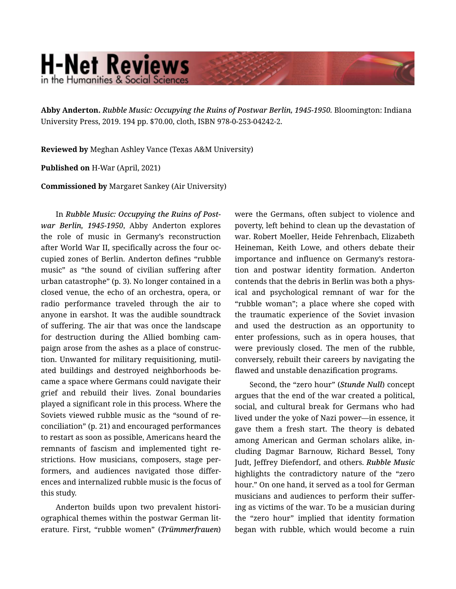## **H-Net Reviews** in the Humanities & Social Scienc

**Abby Anderton.** *Rubble Music: Occupying the Ruins of Postwar Berlin, 1945-1950.* Bloomington: Indiana University Press, 2019. 194 pp. \$70.00, cloth, ISBN 978-0-253-04242-2.

**Reviewed by** Meghan Ashley Vance (Texas A&M University)

**Published on** H-War (April, 2021)

**Commissioned by** Margaret Sankey (Air University)

In *Rubble Music: Occupying the Ruins of Post‐ war Berlin, 1945-1950*, Abby Anderton explores the role of music in Germany's reconstruction after World War II, specifically across the four oc‐ cupied zones of Berlin. Anderton defines "rubble music" as "the sound of civilian suffering after urban catastrophe" (p. 3). No longer contained in a closed venue, the echo of an orchestra, opera, or radio performance traveled through the air to anyone in earshot. It was the audible soundtrack of suffering. The air that was once the landscape for destruction during the Allied bombing campaign arose from the ashes as a place of construc‐ tion. Unwanted for military requisitioning, mutil‐ ated buildings and destroyed neighborhoods be‐ came a space where Germans could navigate their grief and rebuild their lives. Zonal boundaries played a significant role in this process. Where the Soviets viewed rubble music as the "sound of re‐ conciliation" (p. 21) and encouraged performances to restart as soon as possible, Americans heard the remnants of fascism and implemented tight re‐ strictions. How musicians, composers, stage per‐ formers, and audiences navigated those differ‐ ences and internalized rubble music is the focus of this study.

Anderton builds upon two prevalent histori‐ ographical themes within the postwar German lit‐ erature. First, "rubble women" (*Trümmerfrauen*) were the Germans, often subject to violence and poverty, left behind to clean up the devastation of war. Robert Moeller, Heide Fehrenbach, Elizabeth Heineman, Keith Lowe, and others debate their importance and influence on Germany's restora‐ tion and postwar identity formation. Anderton contends that the debris in Berlin was both a phys‐ ical and psychological remnant of war for the "rubble woman"; a place where she coped with the traumatic experience of the Soviet invasion and used the destruction as an opportunity to enter professions, such as in opera houses, that were previously closed. The men of the rubble, conversely, rebuilt their careers by navigating the flawed and unstable denazification programs.

Second, the "zero hour" (*Stunde Null*) concept argues that the end of the war created a political, social, and cultural break for Germans who had lived under the yoke of Nazi power—in essence, it gave them a fresh start. The theory is debated among American and German scholars alike, in‐ cluding Dagmar Barnouw, Richard Bessel, Tony Judt, Jeffrey Diefendorf, and others. *Rubble Music* highlights the contradictory nature of the "zero hour." On one hand, it served as a tool for German musicians and audiences to perform their suffer‐ ing as victims of the war. To be a musician during the "zero hour" implied that identity formation began with rubble, which would become a ruin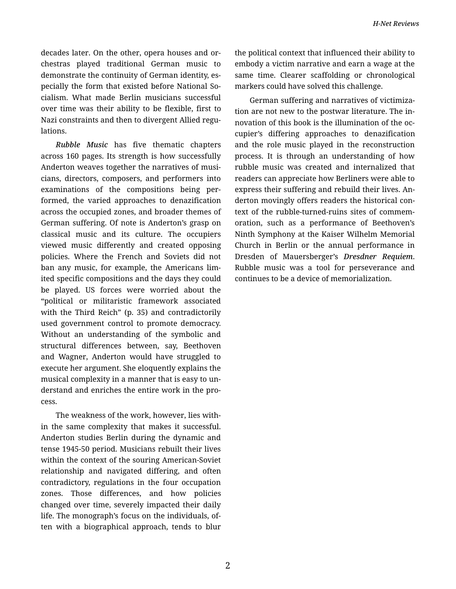decades later. On the other, opera houses and or‐ chestras played traditional German music to demonstrate the continuity of German identity, es‐ pecially the form that existed before National So‐ cialism. What made Berlin musicians successful over time was their ability to be flexible, first to Nazi constraints and then to divergent Allied regu‐ lations.

*Rubble Music* has five thematic chapters across 160 pages. Its strength is how successfully Anderton weaves together the narratives of musi‐ cians, directors, composers, and performers into examinations of the compositions being per‐ formed, the varied approaches to denazification across the occupied zones, and broader themes of German suffering. Of note is Anderton's grasp on classical music and its culture. The occupiers viewed music differently and created opposing policies. Where the French and Soviets did not ban any music, for example, the Americans lim‐ ited specific compositions and the days they could be played. US forces were worried about the "political or militaristic framework associated with the Third Reich" (p. 35) and contradictorily used government control to promote democracy. Without an understanding of the symbolic and structural differences between, say, Beethoven and Wagner, Anderton would have struggled to execute her argument. She eloquently explains the musical complexity in a manner that is easy to un‐ derstand and enriches the entire work in the pro‐ cess.

The weakness of the work, however, lies with‐ in the same complexity that makes it successful. Anderton studies Berlin during the dynamic and tense 1945-50 period. Musicians rebuilt their lives within the context of the souring American-Soviet relationship and navigated differing, and often contradictory, regulations in the four occupation zones. Those differences, and how policies changed over time, severely impacted their daily life. The monograph's focus on the individuals, of‐ ten with a biographical approach, tends to blur the political context that influenced their ability to embody a victim narrative and earn a wage at the same time. Clearer scaffolding or chronological markers could have solved this challenge.

German suffering and narratives of victimiza‐ tion are not new to the postwar literature. The in‐ novation of this book is the illumination of the oc‐ cupier's differing approaches to denazification and the role music played in the reconstruction process. It is through an understanding of how rubble music was created and internalized that readers can appreciate how Berliners were able to express their suffering and rebuild their lives. An‐ derton movingly offers readers the historical con‐ text of the rubble-turned-ruins sites of commem‐ oration, such as a performance of Beethoven's Ninth Symphony at the Kaiser Wilhelm Memorial Church in Berlin or the annual performance in Dresden of Mauersberger's *Dresdner Requiem*. Rubble music was a tool for perseverance and continues to be a device of memorialization.